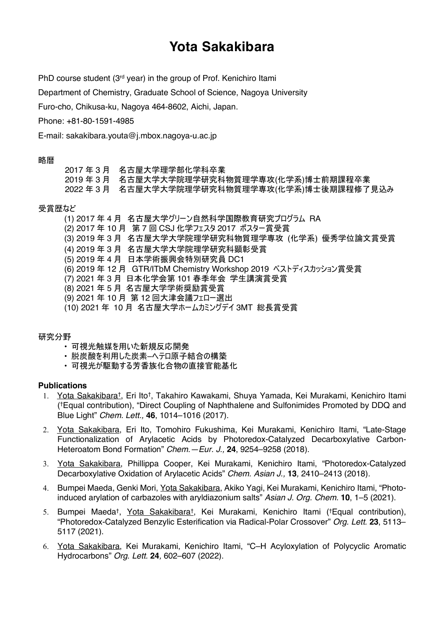# **Yota Sakakibara**

PhD course student (3<sup>rd</sup> year) in the group of Prof. Kenichiro Itami

Department of Chemistry, Graduate School of Science, Nagoya University

Furo-cho, Chikusa-ku, Nagoya 464-8602, Aichi, Japan.

Phone: +81-80-1591-4985

E-mail: sakakibara.youta@j.mbox.nagoya-u.ac.jp

### 略暦

2017 年 3 月 名古屋大学理学部化学科卒業 2019 年 3 月 名古屋大学大学院理学研究科物質理学専攻(化学系)博士前期課程卒業 2022 年 3 月 名古屋大学大学院理学研究科物質理学専攻(化学系)博士後期課程修了見込み

### 受賞歴など

(1) 2017 年 4 月 名古屋大学グリーン自然科学国際教育研究プログラム RA

- (2) 2017 年 10 月 第 7 回 CSJ 化学フェスタ 2017 ポスター賞受賞
- (3) 2019 年 3 月 名古屋大学大学院理学研究科物質理学専攻 (化学系) 優秀学位論文賞受賞
- (4) 2019 年 3 月 名古屋大学大学院理学研究科顕彰受賞
- (5) 2019 年 4 月 日本学術振興会特別研究員 DC1
- (6) 2019 年 12 月 GTR/ITbM Chemistry Workshop 2019 ベストディスカッション賞受賞
- (7) 2021 年 3 月 日本化学会第 101 春季年会 学生講演賞受賞
- (8) 2021 年 5 月 名古屋大学学術奨励賞受賞
- (9) 2021 年 10 月 第 12 回大津会議フェロー選出
- (10) 2021 年 10 月 名古屋大学ホームカミングデイ 3MT 総長賞受賞

# 研究分野

- 可視光触媒を用いた新規反応開発
- 脱炭酸を利用した炭素–ヘテロ原子結合の構築
- 可視光が駆動する芳香族化合物の直接官能基化

# **Publications**

- 1. Yota Sakakibara†, Eri Ito†, Takahiro Kawakami, Shuya Yamada, Kei Murakami, Kenichiro Itami (†Equal contribution), "Direct Coupling of Naphthalene and Sulfonimides Promoted by DDQ and Blue Light" *Chem. Lett.,* **46**, 1014–1016 (2017).
- 2. Yota Sakakibara, Eri Ito, Tomohiro Fukushima, Kei Murakami, Kenichiro Itami, "Late-Stage Functionalization of Arylacetic Acids by Photoredox-Catalyzed Decarboxylative Carbon-Heteroatom Bond Formation" *Chem.—Eur. J.,* **24**, 9254–9258 (2018).
- 3. Yota Sakakibara, Phillippa Cooper, Kei Murakami, Kenichiro Itami, "Photoredox-Catalyzed Decarboxylative Oxidation of Arylacetic Acids" *Chem. Asian J.,* **13***,* 2410–2413 (2018)*.*
- 4. Bumpei Maeda, Genki Mori, Yota Sakakibara, Akiko Yagi, Kei Murakami, Kenichiro Itami, "Photoinduced arylation of carbazoles with aryldiazonium salts" *Asian J. Org. Chem.* **10**, 1–5 (2021).
- 5. Bumpei Maeda†, Yota Sakakibara†, Kei Murakami, Kenichiro Itami (†Equal contribution), "Photoredox-Catalyzed Benzylic Esterification via Radical-Polar Crossover" *Org. Lett.* **23**, 5113– 5117 (2021).
- 6. Yota Sakakibara, Kei Murakami, Kenichiro Itami, "C–H Acyloxylation of Polycyclic Aromatic Hydrocarbons" *Org. Lett.* **24***,* 602–607 (2022).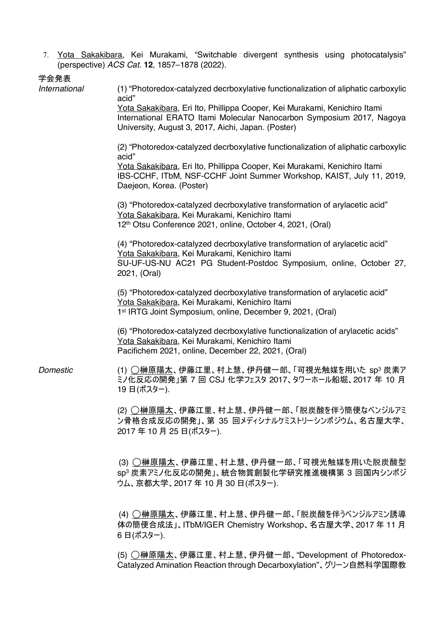7. Yota Sakakibara, Kei Murakami, "Switchable divergent synthesis using photocatalysis" (perspective) *ACS Cat.* **12***,* 1857–1878 (2022).

学会発表

| International | (1) "Photoredox-catalyzed decrboxylative functionalization of aliphatic carboxylic<br>acid"<br>Yota Sakakibara, Eri Ito, Phillippa Cooper, Kei Murakami, Kenichiro Itami<br>International ERATO Itami Molecular Nanocarbon Symposium 2017, Nagoya |
|---------------|---------------------------------------------------------------------------------------------------------------------------------------------------------------------------------------------------------------------------------------------------|
|               | University, August 3, 2017, Aichi, Japan. (Poster)<br>(2) "Photoredox-catalyzed decrboxylative functionalization of aliphatic carboxylic<br>acid"                                                                                                 |
|               | Yota Sakakibara, Eri Ito, Phillippa Cooper, Kei Murakami, Kenichiro Itami<br>IBS-CCHF, ITbM, NSF-CCHF Joint Summer Workshop, KAIST, July 11, 2019,<br>Daejeon, Korea. (Poster)                                                                    |
|               | (3) "Photoredox-catalyzed decrboxylative transformation of arylacetic acid"<br>Yota Sakakibara, Kei Murakami, Kenichiro Itami<br>12th Otsu Conference 2021, online, October 4, 2021, (Oral)                                                       |
|               | (4) "Photoredox-catalyzed decrboxylative transformation of arylacetic acid"<br>Yota Sakakibara, Kei Murakami, Kenichiro Itami<br>SU-UF-US-NU AC21 PG Student-Postdoc Symposium, online, October 27,<br>2021, (Oral)                               |
|               | (5) "Photoredox-catalyzed decrboxylative transformation of arylacetic acid"<br>Yota Sakakibara, Kei Murakami, Kenichiro Itami<br>1 <sup>st</sup> IRTG Joint Symposium, online, December 9, 2021, (Oral)                                           |
|               | (6) "Photoredox-catalyzed decrboxylative functionalization of arylacetic acids"<br>Yota Sakakibara, Kei Murakami, Kenichiro Itami<br>Pacifichem 2021, online, December 22, 2021, (Oral)                                                           |
| Domestic      | (1) ○榊原陽太、伊藤江里、村上慧、伊丹健一郎、「可視光触媒を用いた sp <sup>3</sup> 炭素ア<br>ミノ化反応の開発」第7回 CSJ 化学フェスタ 2017、タワーホール船堀、2017 年 10 月<br>19日(ポスター).                                                                                                                        |
|               | (2) ◯榊原陽太、伊藤江里、村上慧、伊丹健一郎、「脱炭酸を伴う簡便なベンジルアミ<br>ン骨格合成反応の開発」、第 35 回メディシナルケミストリーシンポジウム、名古屋大学、<br>2017年10月25日(ポスター).                                                                                                                                    |
|               | (3) ◯榊原陽太、伊藤江里、村上慧、伊丹健一郎、「可視光触媒を用いた脱炭酸型<br>sp3 炭素アミノ化反応の開発」、統合物質創製化学研究推進機構第 3 回国内シンポジ<br>ウム、京都大学、2017 年 10 月 30 日(ポスター).                                                                                                                          |
|               | (4) ◯榊原陽太、伊藤江里、村上慧、伊丹健一郎、「脱炭酸を伴うベンジルアミン誘導<br>体の簡便合成法」、ITbM/IGER Chemistry Workshop、名古屋大学、2017年11月<br>6日(ポスター).                                                                                                                                    |

(5) ◯榊原陽太、伊藤江里、村上慧、伊丹健一郎、"Development of Photoredox-Catalyzed Amination Reaction through Decarboxylation"、グリーン自然科学国際教